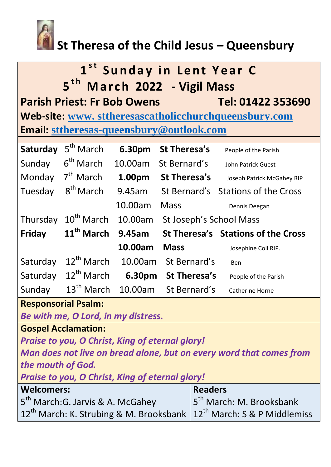

## **St Theresa of the Child Jesus – Queensbury**

# $1<sup>st</sup>$  Sunday in Lent Year C **1 5<sup>th</sup> March 2022 - Vigil Mass Parish Priest: Fr Bob Owens Tel: 01422 353690**

**Web-site: www. [sttheresascatholicchurchqueensbury.com](http://www.sttheresascatholicchurchqueensbury.com/) Email: [sttheresas-queensbury@outlook.com](mailto:sttheresas-queensbury@outlook.com)**

| Saturday      | 5 <sup>th</sup> March  | 6.30pm  | St Theresa's            | People of the Parish               |
|---------------|------------------------|---------|-------------------------|------------------------------------|
| Sunday        | $6th$ March            | 10.00am | St Bernard's            | John Patrick Guest                 |
| Monday        | $7th$ March            | 1.00pm  | <b>St Theresa's</b>     | Joseph Patrick McGahey RIP         |
| Tuesday       | 8 <sup>th</sup> March  | 9.45am  |                         | St Bernard's Stations of the Cross |
|               |                        | 10.00am | <b>Mass</b>             | Dennis Deegan                      |
| Thursday      | 10 <sup>th</sup> March | 10.00am | St Joseph's School Mass |                                    |
| <b>Friday</b> | 11 <sup>th</sup> March | 9.45am  |                         | St Theresa's Stations of the Cross |
|               |                        | 10.00am | <b>Mass</b>             | Josephine Coll RIP.                |
| Saturday      | $12^{th}$ March        | 10.00am | St Bernard's            | Ben                                |
| Saturday      | $12^{th}$ March        | 6.30pm  | St Theresa's            | People of the Parish               |
| Sunday        | $13th$ March           | 10.00am | St Bernard's            | <b>Catherine Horne</b>             |

### **Responsorial Psalm:**

*Be with me, O Lord, in my distress.*

**Gospel Acclamation:**

*Praise to you, O Christ, King of eternal glory!*

*Man does not live on bread alone, but on every word that comes from the mouth of God.*

*Praise to you, O Christ, King of eternal glory!*

| <b>Welcomers:</b>                                                                      | <b>Readers</b>                       |
|----------------------------------------------------------------------------------------|--------------------------------------|
| 5 <sup>th</sup> March:G. Jarvis & A. McGahey                                           | 5 <sup>th</sup> March: M. Brooksbank |
| 12 <sup>th</sup> March: K. Strubing & M. Brooksbank $ 12^{th}$ March: S & P Middlemiss |                                      |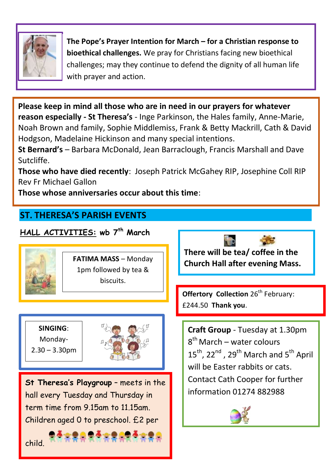

**The Pope's Prayer Intention for March – for a Christian response to bioethical challenges.** We pray for Christians facing new bioethical challenges; may they continue to defend the dignity of all human life with prayer and action.

**Please keep in mind all those who are in need in our prayers for whatever reason especially - St Theresa's** - Inge Parkinson, the Hales family, Anne-Marie, Noah Brown and family, Sophie Middlemiss, Frank & Betty Mackrill, Cath & David Hodgson, Madelaine Hickinson and many special intentions.

**St Bernard's** – Barbara McDonald, Jean Barraclough, Francis Marshall and Dave Sutcliffe.

**Those who have died recently**: Joseph Patrick McGahey RIP, Josephine Coll RIP Rev Fr Michael Gallon

**Those whose anniversaries occur about this time**:

## **ST. THERESA'S PARISH EVENTS**

### **HALL ACTIVITIES: wb 7 th March**



**FATIMA MASS** – Monday 1pm followed by tea & biscuits.

**SINGING**: Monday-

 $2.30 - 3.30$ pm

֞

child.

Ξ



**St Theresa's Playgroup** – meets in the hall every Tuesday and Thursday in term time from 9.15am to 11.15am. Children aged 0 to preschool. £2 per

**There will be tea/ coffee in the Church Hall after evening Mass.** 

**Offertory Collection** 26<sup>th</sup> February: £244.50 **Thank you**.

**Craft Group** - Tuesday at 1.30pm 8<sup>th</sup> March – water colours  $15^{th}$ ,  $22^{nd}$ ,  $29^{th}$  March and  $5^{th}$  April will be Easter rabbits or cats. Contact Cath Cooper for further information 01274 882988



L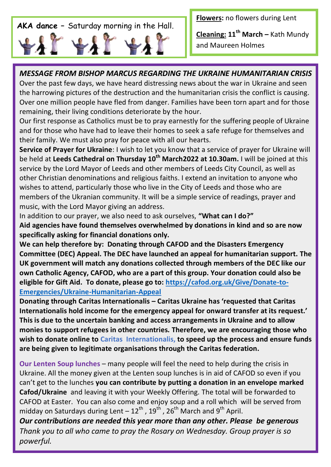# **AKA dance –** Saturday morning in the Hall.

**Flowers:** no flowers during Lent

**Cleaning: 11th March –** Kath Mundy and Maureen Holmes

### *MESSAGE FROM BISHOP MARCUS REGARDING THE UKRAINE HUMANITARIAN CRISIS*

Over the past few days, we have heard distressing news about the war in Ukraine and seen the harrowing pictures of the destruction and the humanitarian crisis the conflict is causing. Over one million people have fled from danger. Families have been torn apart and for those remaining, their living conditions deteriorate by the hour.

Our first response as Catholics must be to pray earnestly for the suffering people of Ukraine and for those who have had to leave their homes to seek a safe refuge for themselves and their family. We must also pray for peace with all our hearts.

**Service of Prayer for Ukraine**: I wish to let you know that a service of prayer for Ukraine will be held at **Leeds Cathedral on Thursday 10th March2022 at 10.30am.** I will be joined at this service by the Lord Mayor of Leeds and other members of Leeds City Council, as well as other Christian denominations and religious faiths. I extend an invitation to anyone who wishes to attend, particularly those who live in the City of Leeds and those who are members of the Ukranian community. It will be a simple service of readings, prayer and music, with the Lord Mayor giving an address.

In addition to our prayer, we also need to ask ourselves, **"What can I do?" Aid agencies have found themselves overwhelmed by donations in kind and so are now specifically asking for financial donations only.** 

 **eligible for Gift Aid. To donate, please go to: [https://cafod.org.uk/Give/Donate-to-](https://cafod.org.uk/Give/Donate-to-Emergencies/Ukraine-Humanitarian-Appeal)We can help therefore by: Donating through CAFOD and the Disasters Emergency Committee (DEC) Appeal. The DEC have launched an appeal for humanitarian support. The UK government will match any donations collected through members of the DEC like our own Catholic Agency, CAFOD, who are a part of this group. Your donation could also be [Emergencies/Ukraine-Humanitarian-Appeal](https://cafod.org.uk/Give/Donate-to-Emergencies/Ukraine-Humanitarian-Appeal)** 

**Donating through Caritas Internationalis – Caritas Ukraine has 'requested that Caritas Internationalis hold income for the emergency appeal for onward transfer at its request.' This is due to the uncertain banking and access arrangements in Ukraine and to allow monies to support refugees in other countries. Therefore, we are encouraging those who wish to donate online to Caritas Internationalis, to speed up the process and ensure funds are being given to legitimate organisations through the Caritas federation.**

**Our Lenten Soup lunches** – many people will feel the need to help during the crisis in Ukraine. All the money given at the Lenten soup lunches is in aid of CAFOD so even if you can't get to the lunches **you can contribute by putting a donation in an envelope marked Cafod/Ukraine** and leaving it with your Weekly Offering. The total will be forwarded to CAFOD at Easter. You can also come and enjoy soup and a roll which will be served from midday on Saturdays during Lent  $-12^{th}$  ,  $19^{th}$  ,  $26^{th}$  March and  $9^{th}$  April.

*Our contributions are needed this year more than any other. Please be generous Thank you to all who came to pray the Rosary on Wednesday. Group prayer is so powerful.*